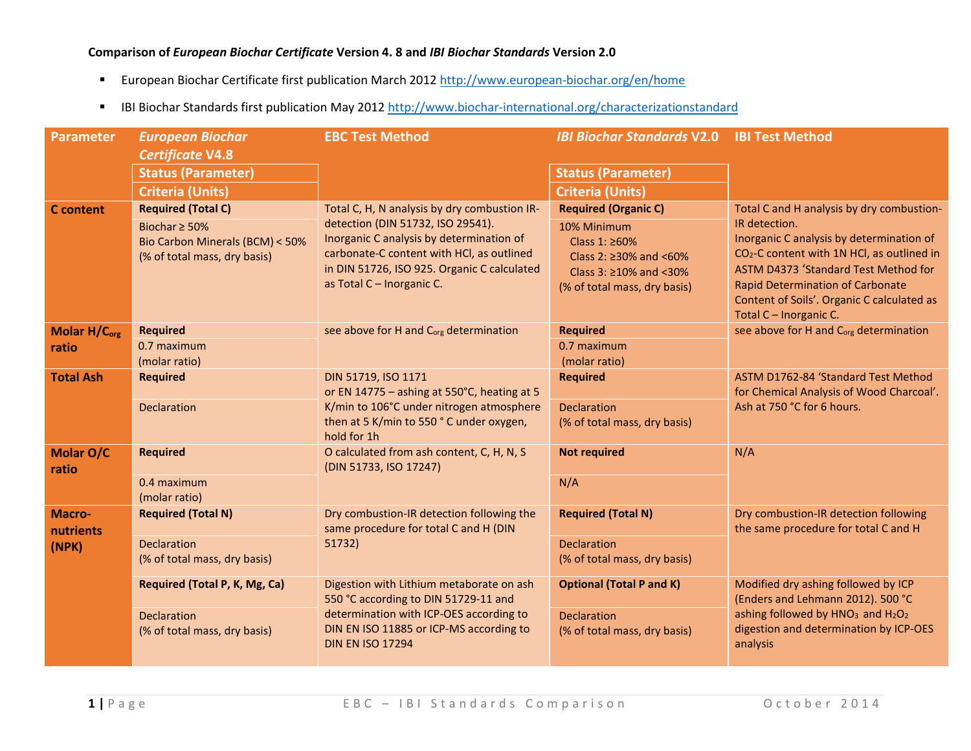## **Comparison of** *European Biochar Certificate* **Version 4. 8 and** *IBI Biochar Standards* **Version 2.0**

- $\blacksquare$ European Biochar Certificate first publication March 2012 http://www.european-biochar.org/en/home
- IBI Biochar Standards first publication May 2012 http://www.biochar-international.org/characterizationstandard

| <b>Parameter</b>    | <b>European Biochar</b>                    | <b>EBC Test Method</b>                                                                | <b>IBI Biochar Standards V2.0</b>                 | <b>IBI Test Method</b>                                                                             |
|---------------------|--------------------------------------------|---------------------------------------------------------------------------------------|---------------------------------------------------|----------------------------------------------------------------------------------------------------|
|                     | <b>Certificate V4.8</b>                    |                                                                                       |                                                   |                                                                                                    |
|                     | <b>Status (Parameter)</b>                  |                                                                                       | <b>Status (Parameter)</b>                         |                                                                                                    |
|                     | <b>Criteria (Units)</b>                    |                                                                                       | <b>Criteria (Units)</b>                           |                                                                                                    |
| <b>C</b> content    | <b>Required (Total C)</b>                  | Total C, H, N analysis by dry combustion IR-                                          | <b>Required (Organic C)</b>                       | Total C and H analysis by dry combustion-                                                          |
|                     | Biochar $\geq$ 50%                         | detection (DIN 51732, ISO 29541).                                                     | 10% Minimum                                       | IR detection.                                                                                      |
|                     | Bio Carbon Minerals (BCM) < 50%            | Inorganic C analysis by determination of<br>carbonate-C content with HCl, as outlined | Class 1: ≥60%                                     | Inorganic C analysis by determination of<br>CO <sub>2</sub> -C content with 1N HCl, as outlined in |
|                     | (% of total mass, dry basis)               | in DIN 51726, ISO 925. Organic C calculated                                           | Class 2: ≥30% and <60%<br>Class $3:≥10%$ and <30% | ASTM D4373 'Standard Test Method for                                                               |
|                     |                                            | as Total C - Inorganic C.                                                             | (% of total mass, dry basis)                      | <b>Rapid Determination of Carbonate</b>                                                            |
|                     |                                            |                                                                                       |                                                   | Content of Soils'. Organic C calculated as                                                         |
|                     |                                            |                                                                                       |                                                   | Total C - Inorganic C.                                                                             |
| <b>Molar H/Corg</b> | <b>Required</b>                            | see above for H and C <sub>org</sub> determination                                    | <b>Required</b>                                   | see above for H and C <sub>org</sub> determination                                                 |
| ratio               | $0.7$ maximum                              |                                                                                       | 0.7 maximum                                       |                                                                                                    |
|                     | (molar ratio)                              |                                                                                       | (molar ratio)                                     |                                                                                                    |
| <b>Total Ash</b>    | <b>Required</b>                            | DIN 51719, ISO 1171<br>or EN 14775 - ashing at 550°C, heating at 5                    | <b>Required</b>                                   | ASTM D1762-84 'Standard Test Method<br>for Chemical Analysis of Wood Charcoal'.                    |
|                     | Declaration                                | K/min to 106°C under nitrogen atmosphere                                              | <b>Declaration</b>                                | Ash at 750 °C for 6 hours.                                                                         |
|                     |                                            | then at 5 K/min to 550 °C under oxygen,                                               | (% of total mass, dry basis)                      |                                                                                                    |
|                     |                                            | hold for 1h                                                                           |                                                   |                                                                                                    |
| Molar O/C<br>ratio  | <b>Required</b>                            | O calculated from ash content, C, H, N, S<br>(DIN 51733, ISO 17247)                   | <b>Not required</b>                               | N/A                                                                                                |
|                     | 0.4 maximum                                |                                                                                       | N/A                                               |                                                                                                    |
| Macro-              | (molar ratio)<br><b>Required (Total N)</b> | Dry combustion-IR detection following the                                             | <b>Required (Total N)</b>                         | Dry combustion-IR detection following                                                              |
| nutrients           |                                            | same procedure for total C and H (DIN                                                 |                                                   | the same procedure for total C and H                                                               |
| (NPK)               | <b>Declaration</b>                         | 51732)                                                                                | <b>Declaration</b>                                |                                                                                                    |
|                     | (% of total mass, dry basis)               |                                                                                       | (% of total mass, dry basis)                      |                                                                                                    |
|                     | Required (Total P, K, Mg, Ca)              | Digestion with Lithium metaborate on ash                                              | <b>Optional (Total P and K)</b>                   | Modified dry ashing followed by ICP                                                                |
|                     |                                            | 550 °C according to DIN 51729-11 and                                                  |                                                   | (Enders and Lehmann 2012). 500 °C                                                                  |
|                     | <b>Declaration</b>                         | determination with ICP-OES according to                                               | <b>Declaration</b>                                | ashing followed by HNO <sub>3</sub> and H <sub>2</sub> O <sub>2</sub>                              |
|                     | (% of total mass, dry basis)               | DIN EN ISO 11885 or ICP-MS according to<br><b>DIN EN ISO 17294</b>                    | (% of total mass, dry basis)                      | digestion and determination by ICP-OES<br>analysis                                                 |
|                     |                                            |                                                                                       |                                                   |                                                                                                    |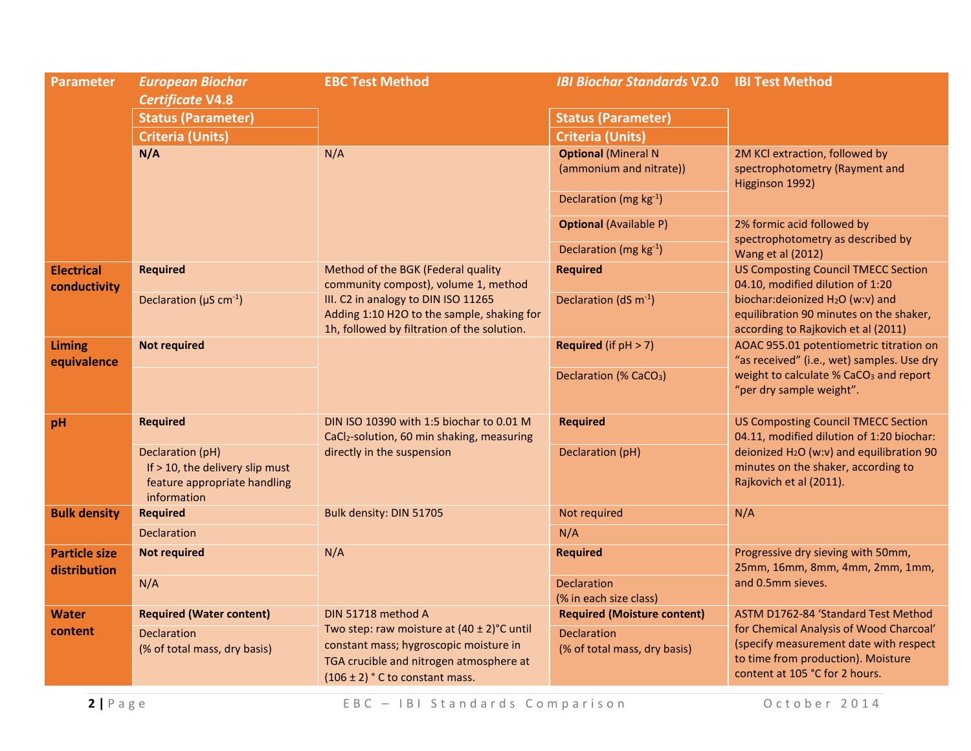| <b>Parameter</b>                     | <b>European Biochar</b><br><b>Certificate V4.8</b>                                                 | <b>EBC Test Method</b>                                                                                                                                                      | <b>IBI Biochar Standards V2.0</b>                     | <b>IBI Test Method</b>                                                                                                                                    |
|--------------------------------------|----------------------------------------------------------------------------------------------------|-----------------------------------------------------------------------------------------------------------------------------------------------------------------------------|-------------------------------------------------------|-----------------------------------------------------------------------------------------------------------------------------------------------------------|
|                                      | <b>Status (Parameter)</b>                                                                          |                                                                                                                                                                             | <b>Status (Parameter)</b>                             |                                                                                                                                                           |
|                                      | <b>Criteria (Units)</b>                                                                            |                                                                                                                                                                             | <b>Criteria (Units)</b>                               |                                                                                                                                                           |
|                                      | N/A                                                                                                | N/A                                                                                                                                                                         | <b>Optional (Mineral N</b><br>(ammonium and nitrate)) | 2M KCl extraction, followed by<br>spectrophotometry (Rayment and<br>Higginson 1992)                                                                       |
|                                      |                                                                                                    |                                                                                                                                                                             | Declaration (mg kg-1)                                 |                                                                                                                                                           |
|                                      |                                                                                                    |                                                                                                                                                                             | <b>Optional (Available P)</b>                         | 2% formic acid followed by<br>spectrophotometry as described by                                                                                           |
|                                      |                                                                                                    |                                                                                                                                                                             | Declaration (mg kg-1)                                 | Wang et al (2012)                                                                                                                                         |
| <b>Electrical</b><br>conductivity    | <b>Required</b>                                                                                    | Method of the BGK (Federal quality<br>community compost), volume 1, method                                                                                                  | <b>Required</b>                                       | <b>US Composting Council TMECC Section</b><br>04.10, modified dilution of 1:20                                                                            |
|                                      | Declaration ( $\mu$ S cm <sup>-1</sup> )                                                           | III. C2 in analogy to DIN ISO 11265<br>Adding 1:10 H2O to the sample, shaking for<br>1h, followed by filtration of the solution.                                            | Declaration ( $dS$ m <sup>-1</sup> )                  | biochar: deionized H <sub>2</sub> O (w:v) and<br>equilibration 90 minutes on the shaker,<br>according to Rajkovich et al (2011)                           |
| <b>Liming</b><br>equivalence         | <b>Not required</b>                                                                                |                                                                                                                                                                             | <b>Required</b> (if $pH > 7$ )                        | AOAC 955.01 potentiometric titration on<br>"as received" (i.e., wet) samples. Use dry                                                                     |
|                                      |                                                                                                    |                                                                                                                                                                             | Declaration (% CaCO <sub>3</sub> )                    | weight to calculate % CaCO <sub>3</sub> and report<br>"per dry sample weight".                                                                            |
| pH                                   | <b>Required</b>                                                                                    | DIN ISO 10390 with 1:5 biochar to 0.01 M<br>CaCl <sub>2</sub> -solution, 60 min shaking, measuring                                                                          | <b>Required</b>                                       | <b>US Composting Council TMECC Section</b><br>04.11, modified dilution of 1:20 biochar:                                                                   |
|                                      | Declaration (pH)<br>If > 10, the delivery slip must<br>feature appropriate handling<br>information | directly in the suspension                                                                                                                                                  | Declaration (pH)                                      | deionized H <sub>2</sub> O (w:v) and equilibration 90<br>minutes on the shaker, according to<br>Rajkovich et al (2011).                                   |
| <b>Bulk density</b>                  | <b>Required</b>                                                                                    | Bulk density: DIN 51705                                                                                                                                                     | Not required                                          | N/A                                                                                                                                                       |
|                                      | <b>Declaration</b>                                                                                 |                                                                                                                                                                             | N/A                                                   |                                                                                                                                                           |
| <b>Particle size</b><br>distribution | <b>Not required</b>                                                                                | N/A                                                                                                                                                                         | <b>Required</b>                                       | Progressive dry sieving with 50mm,<br>25mm, 16mm, 8mm, 4mm, 2mm, 1mm,                                                                                     |
|                                      | N/A                                                                                                |                                                                                                                                                                             | <b>Declaration</b><br>(% in each size class)          | and 0.5mm sieves.                                                                                                                                         |
| <b>Water</b>                         | <b>Required (Water content)</b>                                                                    | DIN 51718 method A                                                                                                                                                          | <b>Required (Moisture content)</b>                    | ASTM D1762-84 'Standard Test Method                                                                                                                       |
| content                              | <b>Declaration</b><br>(% of total mass, dry basis)                                                 | Two step: raw moisture at $(40 \pm 2)$ °C until<br>constant mass; hygroscopic moisture in<br>TGA crucible and nitrogen atmosphere at<br>$(106 \pm 2)$ ° C to constant mass. | <b>Declaration</b><br>(% of total mass, dry basis)    | for Chemical Analysis of Wood Charcoal'<br>(specify measurement date with respect<br>to time from production). Moisture<br>content at 105 °C for 2 hours. |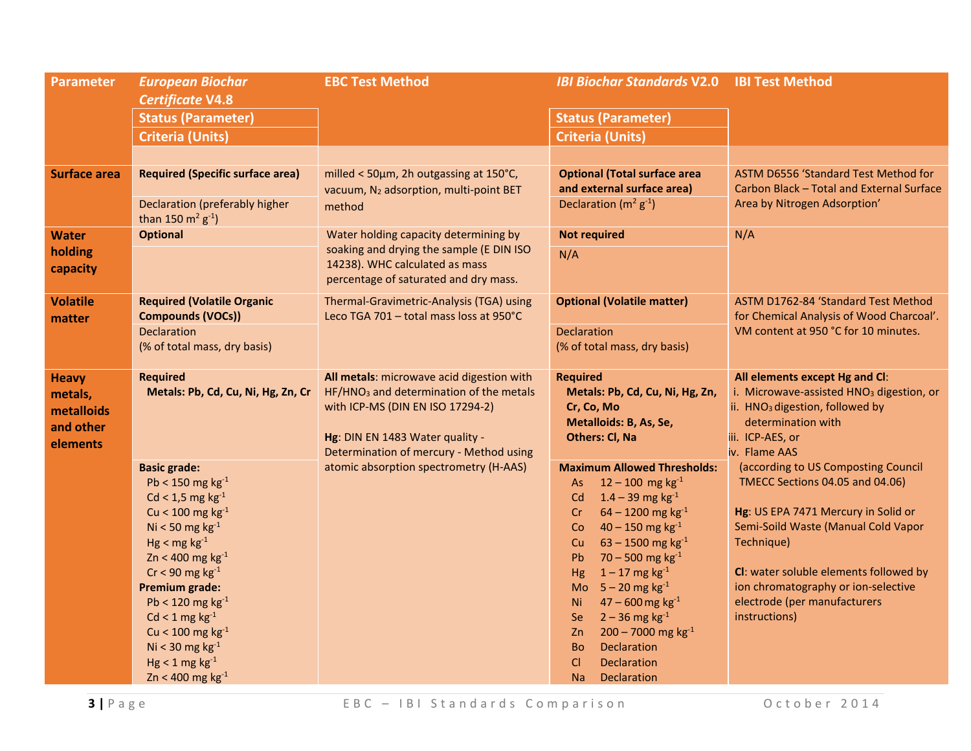| <b>Parameter</b>                                               | <b>European Biochar</b><br><b>Certificate V4.8</b>                                                                                                                                                                                                                                                                                                                                                                                                                                          | <b>EBC Test Method</b>                                                                                                                                                                                                                                       | <b>IBI Biochar Standards V2.0</b>                                                                                                                                                                                                                                                                                                                                                                                                                                                                                                                                                                                                                                                                                      | <b>IBI Test Method</b>                                                                                                                                                                                                                                                                                                                                                                                                                                                                                   |
|----------------------------------------------------------------|---------------------------------------------------------------------------------------------------------------------------------------------------------------------------------------------------------------------------------------------------------------------------------------------------------------------------------------------------------------------------------------------------------------------------------------------------------------------------------------------|--------------------------------------------------------------------------------------------------------------------------------------------------------------------------------------------------------------------------------------------------------------|------------------------------------------------------------------------------------------------------------------------------------------------------------------------------------------------------------------------------------------------------------------------------------------------------------------------------------------------------------------------------------------------------------------------------------------------------------------------------------------------------------------------------------------------------------------------------------------------------------------------------------------------------------------------------------------------------------------------|----------------------------------------------------------------------------------------------------------------------------------------------------------------------------------------------------------------------------------------------------------------------------------------------------------------------------------------------------------------------------------------------------------------------------------------------------------------------------------------------------------|
|                                                                | <b>Status (Parameter)</b>                                                                                                                                                                                                                                                                                                                                                                                                                                                                   |                                                                                                                                                                                                                                                              | <b>Status (Parameter)</b>                                                                                                                                                                                                                                                                                                                                                                                                                                                                                                                                                                                                                                                                                              |                                                                                                                                                                                                                                                                                                                                                                                                                                                                                                          |
|                                                                | <b>Criteria (Units)</b>                                                                                                                                                                                                                                                                                                                                                                                                                                                                     |                                                                                                                                                                                                                                                              | <b>Criteria (Units)</b>                                                                                                                                                                                                                                                                                                                                                                                                                                                                                                                                                                                                                                                                                                |                                                                                                                                                                                                                                                                                                                                                                                                                                                                                                          |
|                                                                |                                                                                                                                                                                                                                                                                                                                                                                                                                                                                             |                                                                                                                                                                                                                                                              |                                                                                                                                                                                                                                                                                                                                                                                                                                                                                                                                                                                                                                                                                                                        |                                                                                                                                                                                                                                                                                                                                                                                                                                                                                                          |
| <b>Surface area</b>                                            | <b>Required (Specific surface area)</b><br>Declaration (preferably higher                                                                                                                                                                                                                                                                                                                                                                                                                   | milled < 50um, 2h outgassing at 150°C,<br>vacuum, N <sub>2</sub> adsorption, multi-point BET<br>method                                                                                                                                                       | <b>Optional (Total surface area</b><br>and external surface area)<br>Declaration ( $m^2$ $g^{-1}$ )                                                                                                                                                                                                                                                                                                                                                                                                                                                                                                                                                                                                                    | ASTM D6556 'Standard Test Method for<br>Carbon Black - Total and External Surface<br>Area by Nitrogen Adsorption'                                                                                                                                                                                                                                                                                                                                                                                        |
| <b>Water</b>                                                   | than 150 $m^2$ $g^{-1}$ )<br><b>Optional</b>                                                                                                                                                                                                                                                                                                                                                                                                                                                | Water holding capacity determining by                                                                                                                                                                                                                        | <b>Not required</b>                                                                                                                                                                                                                                                                                                                                                                                                                                                                                                                                                                                                                                                                                                    | N/A                                                                                                                                                                                                                                                                                                                                                                                                                                                                                                      |
| holding<br>capacity                                            |                                                                                                                                                                                                                                                                                                                                                                                                                                                                                             | soaking and drying the sample (E DIN ISO<br>14238). WHC calculated as mass<br>percentage of saturated and dry mass.                                                                                                                                          | N/A                                                                                                                                                                                                                                                                                                                                                                                                                                                                                                                                                                                                                                                                                                                    |                                                                                                                                                                                                                                                                                                                                                                                                                                                                                                          |
| <b>Volatile</b><br>matter                                      | <b>Required (Volatile Organic</b><br><b>Compounds (VOCs))</b>                                                                                                                                                                                                                                                                                                                                                                                                                               | Thermal-Gravimetric-Analysis (TGA) using<br>Leco TGA 701 - total mass loss at 950°C                                                                                                                                                                          | <b>Optional (Volatile matter)</b>                                                                                                                                                                                                                                                                                                                                                                                                                                                                                                                                                                                                                                                                                      | ASTM D1762-84 'Standard Test Method<br>for Chemical Analysis of Wood Charcoal'.                                                                                                                                                                                                                                                                                                                                                                                                                          |
|                                                                | <b>Declaration</b><br>(% of total mass, dry basis)                                                                                                                                                                                                                                                                                                                                                                                                                                          |                                                                                                                                                                                                                                                              | <b>Declaration</b><br>(% of total mass, dry basis)                                                                                                                                                                                                                                                                                                                                                                                                                                                                                                                                                                                                                                                                     | VM content at 950 °C for 10 minutes.                                                                                                                                                                                                                                                                                                                                                                                                                                                                     |
| <b>Heavy</b><br>metals,<br>metalloids<br>and other<br>elements | <b>Required</b><br>Metals: Pb, Cd, Cu, Ni, Hg, Zn, Cr<br><b>Basic grade:</b><br>Pb < 150 mg $kg^{-1}$<br>$Cd < 1.5$ mg kg <sup>-1</sup><br>Cu < $100 \text{ mg kg}^{-1}$<br>Ni < 50 mg $kg^{-1}$<br>$Hg < mg kg^{-1}$<br>$Zn < 400$ mg $kg^{-1}$<br>$Cr < 90$ mg kg <sup>-1</sup><br><b>Premium grade:</b><br>Pb < 120 mg $kg^{-1}$<br>$Cd < 1$ mg kg <sup>-1</sup><br>Cu < $100 \text{ mg kg}^{-1}$<br>Ni < 30 mg $kg-1$<br>$Hg < 1$ mg kg <sup>-1</sup><br>$Zn < 400$ mg kg <sup>-1</sup> | All metals: microwave acid digestion with<br>HF/HNO <sub>3</sub> and determination of the metals<br>with ICP-MS (DIN EN ISO 17294-2)<br>Hg: DIN EN 1483 Water quality -<br>Determination of mercury - Method using<br>atomic absorption spectrometry (H-AAS) | <b>Required</b><br>Metals: Pb, Cd, Cu, Ni, Hg, Zn,<br>Cr, Co, Mo<br>Metalloids: B, As, Se,<br><b>Others: Cl, Na</b><br><b>Maximum Allowed Thresholds:</b><br>$12 - 100$ mg kg <sup>-1</sup><br>As<br>$1.4 - 39$ mg kg <sup>-1</sup><br>Cd<br>$64 - 1200$ mg kg <sup>-1</sup><br>Cr<br>$40 - 150$ mg kg <sup>-1</sup><br>Co<br>$63 - 1500$ mg kg <sup>-1</sup><br><b>Cu</b><br>$70 - 500$ mg kg <sup>-1</sup><br><b>Pb</b><br>$1 - 17$ mg kg <sup>-1</sup><br>Hg<br>$5 - 20$ mg kg <sup>-1</sup><br>Mo<br>$47 - 600$ mg kg <sup>-1</sup><br>Ni<br>$2 - 36$ mg kg <sup>-1</sup><br>Se<br>$200 - 7000$ mg kg <sup>-1</sup><br>Z <sub>n</sub><br>Declaration<br><b>Bo</b><br>C1<br>Declaration<br>Na<br><b>Declaration</b> | All elements except Hg and Cl:<br>i. Microwave-assisted HNO <sub>3</sub> digestion, or<br>ii. HNO <sub>3</sub> digestion, followed by<br>determination with<br>iii. ICP-AES, or<br>iv. Flame AAS<br>(according to US Composting Council<br>TMECC Sections 04.05 and 04.06)<br>Hg: US EPA 7471 Mercury in Solid or<br>Semi-Soild Waste (Manual Cold Vapor<br>Technique)<br>CI: water soluble elements followed by<br>ion chromatography or ion-selective<br>electrode (per manufacturers<br>instructions) |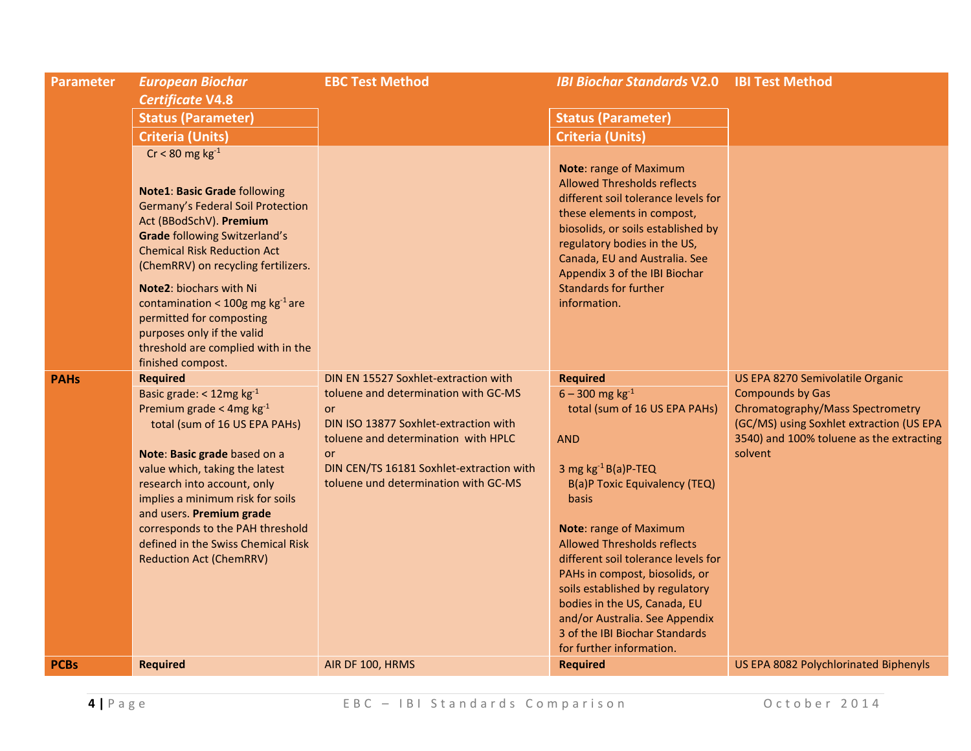| <b>Parameter</b> | <b>European Biochar</b><br><b>Certificate V4.8</b>                                                                                                                                                                                                                                                                                                                                                                                                        | <b>EBC Test Method</b>                                                                                                                                                                                                                                       | <b>IBI Biochar Standards V2.0 IBI Test Method</b>                                                                                                                                                                                                                                                                                                                                                                                                                                              |                                                                                                                                                                                                    |
|------------------|-----------------------------------------------------------------------------------------------------------------------------------------------------------------------------------------------------------------------------------------------------------------------------------------------------------------------------------------------------------------------------------------------------------------------------------------------------------|--------------------------------------------------------------------------------------------------------------------------------------------------------------------------------------------------------------------------------------------------------------|------------------------------------------------------------------------------------------------------------------------------------------------------------------------------------------------------------------------------------------------------------------------------------------------------------------------------------------------------------------------------------------------------------------------------------------------------------------------------------------------|----------------------------------------------------------------------------------------------------------------------------------------------------------------------------------------------------|
|                  | <b>Status (Parameter)</b>                                                                                                                                                                                                                                                                                                                                                                                                                                 |                                                                                                                                                                                                                                                              | <b>Status (Parameter)</b>                                                                                                                                                                                                                                                                                                                                                                                                                                                                      |                                                                                                                                                                                                    |
|                  | <b>Criteria (Units)</b>                                                                                                                                                                                                                                                                                                                                                                                                                                   |                                                                                                                                                                                                                                                              | <b>Criteria (Units)</b>                                                                                                                                                                                                                                                                                                                                                                                                                                                                        |                                                                                                                                                                                                    |
|                  | $Cr < 80$ mg kg <sup>-1</sup><br><b>Note1: Basic Grade following</b><br>Germany's Federal Soil Protection<br>Act (BBodSchV). Premium<br><b>Grade following Switzerland's</b><br><b>Chemical Risk Reduction Act</b><br>(ChemRRV) on recycling fertilizers.<br><b>Note2: biochars with Ni</b><br>contamination < 100g mg $kg^{-1}$ are<br>permitted for composting<br>purposes only if the valid<br>threshold are complied with in the<br>finished compost. |                                                                                                                                                                                                                                                              | <b>Note: range of Maximum</b><br><b>Allowed Thresholds reflects</b><br>different soil tolerance levels for<br>these elements in compost,<br>biosolids, or soils established by<br>regulatory bodies in the US,<br>Canada, EU and Australia. See<br>Appendix 3 of the IBI Biochar<br><b>Standards for further</b><br>information.                                                                                                                                                               |                                                                                                                                                                                                    |
| <b>PAHs</b>      | <b>Required</b><br>Basic grade: < 12mg kg-1<br>Premium grade < 4mg $kg^{-1}$<br>total (sum of 16 US EPA PAHs)<br>Note: Basic grade based on a<br>value which, taking the latest<br>research into account, only<br>implies a minimum risk for soils<br>and users. Premium grade<br>corresponds to the PAH threshold<br>defined in the Swiss Chemical Risk<br><b>Reduction Act (ChemRRV)</b>                                                                | DIN EN 15527 Soxhlet-extraction with<br>toluene and determination with GC-MS<br>or<br>DIN ISO 13877 Soxhlet-extraction with<br>toluene and determination with HPLC<br>or<br>DIN CEN/TS 16181 Soxhlet-extraction with<br>toluene und determination with GC-MS | <b>Required</b><br>$6 - 300$ mg kg <sup>-1</sup><br>total (sum of 16 US EPA PAHs)<br><b>AND</b><br>3 mg $kg^{-1}B(a)P-TEQ$<br>B(a)P Toxic Equivalency (TEQ)<br><b>basis</b><br><b>Note: range of Maximum</b><br><b>Allowed Thresholds reflects</b><br>different soil tolerance levels for<br>PAHs in compost, biosolids, or<br>soils established by regulatory<br>bodies in the US, Canada, EU<br>and/or Australia. See Appendix<br>3 of the IBI Biochar Standards<br>for further information. | US EPA 8270 Semivolatile Organic<br><b>Compounds by Gas</b><br>Chromatography/Mass Spectrometry<br>(GC/MS) using Soxhlet extraction (US EPA<br>3540) and 100% toluene as the extracting<br>solvent |
| <b>PCBs</b>      | <b>Required</b>                                                                                                                                                                                                                                                                                                                                                                                                                                           | AIR DF 100, HRMS                                                                                                                                                                                                                                             | <b>Required</b>                                                                                                                                                                                                                                                                                                                                                                                                                                                                                | US EPA 8082 Polychlorinated Biphenyls                                                                                                                                                              |